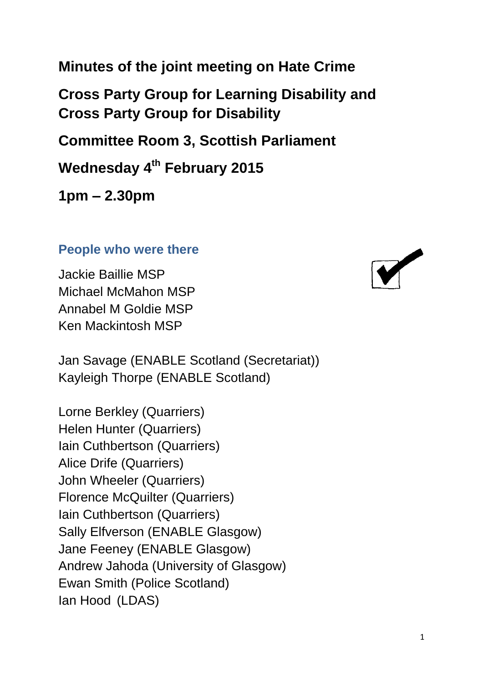**Minutes of the joint meeting on Hate Crime**

**Cross Party Group for Learning Disability and Cross Party Group for Disability** 

**Committee Room 3, Scottish Parliament**

**Wednesday 4th February 2015**

**1pm – 2.30pm**

#### **People who were there**

Jackie Baillie MSP Michael McMahon MSP Annabel M Goldie MSP Ken Mackintosh MSP

Jan Savage (ENABLE Scotland (Secretariat)) Kayleigh Thorpe (ENABLE Scotland)

Lorne Berkley (Quarriers) Helen Hunter (Quarriers) Iain Cuthbertson (Quarriers) Alice Drife (Quarriers) John Wheeler (Quarriers) Florence McQuilter (Quarriers) Iain Cuthbertson (Quarriers) Sally Elfverson (ENABLE Glasgow) Jane Feeney (ENABLE Glasgow) Andrew Jahoda (University of Glasgow) Ewan Smith (Police Scotland) Ian Hood (LDAS)

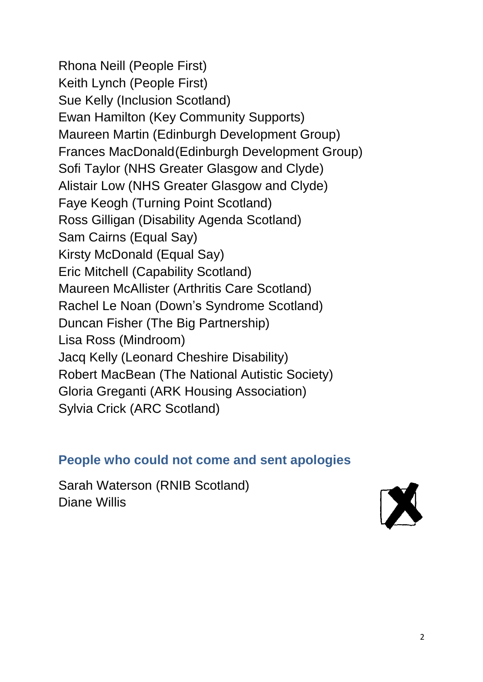Rhona Neill (People First) Keith Lynch (People First) Sue Kelly (Inclusion Scotland) Ewan Hamilton (Key Community Supports) Maureen Martin (Edinburgh Development Group) Frances MacDonald(Edinburgh Development Group) Sofi Taylor (NHS Greater Glasgow and Clyde) Alistair Low (NHS Greater Glasgow and Clyde) Faye Keogh (Turning Point Scotland) Ross Gilligan (Disability Agenda Scotland) Sam Cairns (Equal Say) Kirsty McDonald (Equal Say) Eric Mitchell (Capability Scotland) Maureen McAllister (Arthritis Care Scotland) Rachel Le Noan (Down's Syndrome Scotland) Duncan Fisher (The Big Partnership) Lisa Ross (Mindroom) Jacq Kelly (Leonard Cheshire Disability) Robert MacBean (The National Autistic Society) Gloria Greganti (ARK Housing Association) Sylvia Crick (ARC Scotland)

#### **People who could not come and sent apologies**

Sarah Waterson (RNIB Scotland) Diane Willis

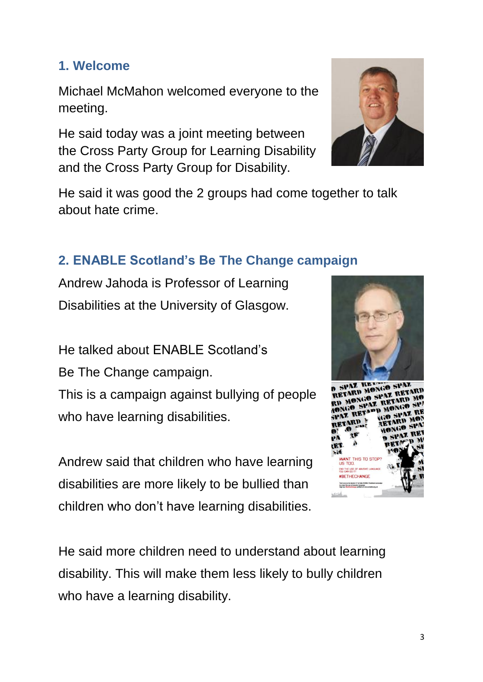#### **1. Welcome**

Michael McMahon welcomed everyone to the meeting.

He said today was a joint meeting between the Cross Party Group for Learning Disability and the Cross Party Group for Disability.



He said it was good the 2 groups had come together to talk about hate crime.

## **2. ENABLE Scotland's Be The Change campaign**

Andrew Jahoda is Professor of Learning Disabilities at the University of Glasgow.

He talked about ENABLE Scotland's

Be The Change campaign.

This is a campaign against bullying of people who have learning disabilities.

Andrew said that children who have learning disabilities are more likely to be bullied than children who don't have learning disabilities.





He said more children need to understand about learning disability. This will make them less likely to bully children who have a learning disability.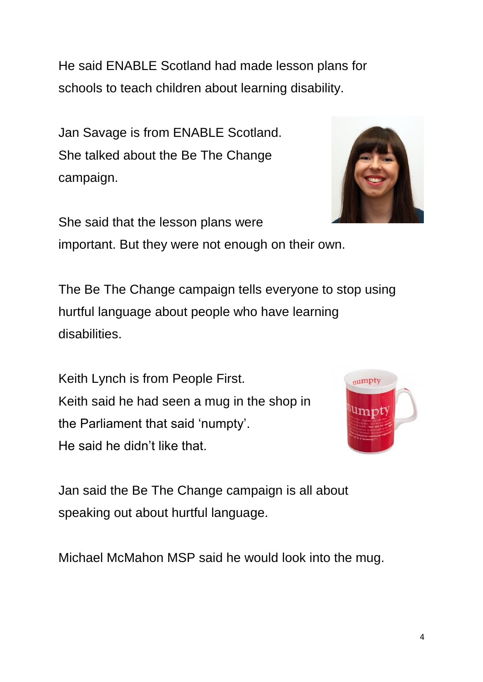He said ENABLE Scotland had made lesson plans for schools to teach children about learning disability.

Jan Savage is from ENABLE Scotland. She talked about the Be The Change campaign.



important. But they were not enough on their own.

The Be The Change campaign tells everyone to stop using hurtful language about people who have learning disabilities.

Keith Lynch is from People First. Keith said he had seen a mug in the shop in the Parliament that said 'numpty'. He said he didn't like that.



Jan said the Be The Change campaign is all about speaking out about hurtful language.

Michael McMahon MSP said he would look into the mug.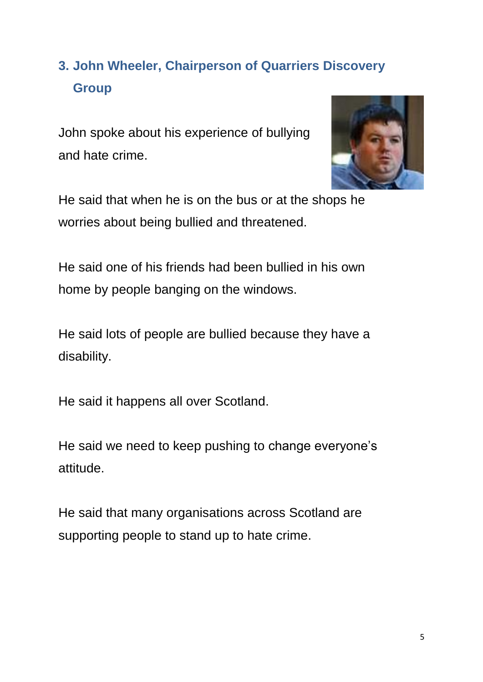# **3. John Wheeler, Chairperson of Quarriers Discovery Group**

John spoke about his experience of bullying and hate crime.



He said that when he is on the bus or at the shops he worries about being bullied and threatened.

He said one of his friends had been bullied in his own home by people banging on the windows.

He said lots of people are bullied because they have a disability.

He said it happens all over Scotland.

He said we need to keep pushing to change everyone's attitude.

He said that many organisations across Scotland are supporting people to stand up to hate crime.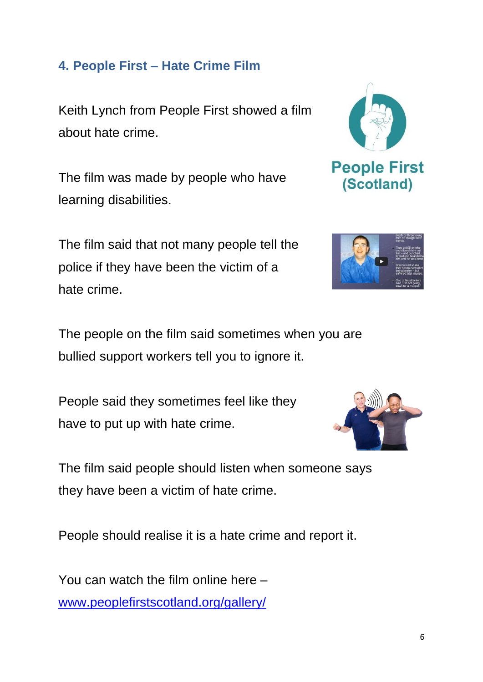### **4. People First – Hate Crime Film**

Keith Lynch from People First showed a film about hate crime.

The film was made by people who have learning disabilities.

The film said that not many people tell the police if they have been the victim of a hate crime.





The people on the film said sometimes when you are bullied support workers tell you to ignore it.

People said they sometimes feel like they have to put up with hate crime.



The film said people should listen when someone says they have been a victim of hate crime.

People should realise it is a hate crime and report it.

You can watch the film online here – [www.peoplefirstscotland.org/gallery/](http://www.peoplefirstscotland.org/gallery/)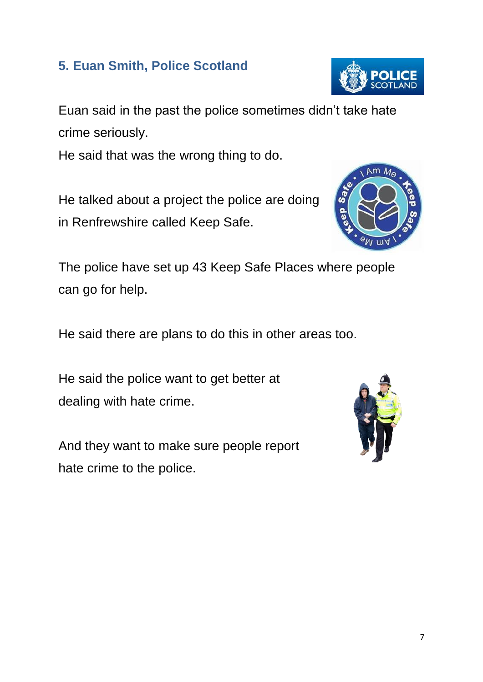7

### **5. Euan Smith, Police Scotland**

Euan said in the past the police sometimes didn't take hate crime seriously.

He said that was the wrong thing to do.

He talked about a project the police are doing in Renfrewshire called Keep Safe.

The police have set up 43 Keep Safe Places where people can go for help.

He said there are plans to do this in other areas too.

He said the police want to get better at dealing with hate crime.

And they want to make sure people report hate crime to the police.





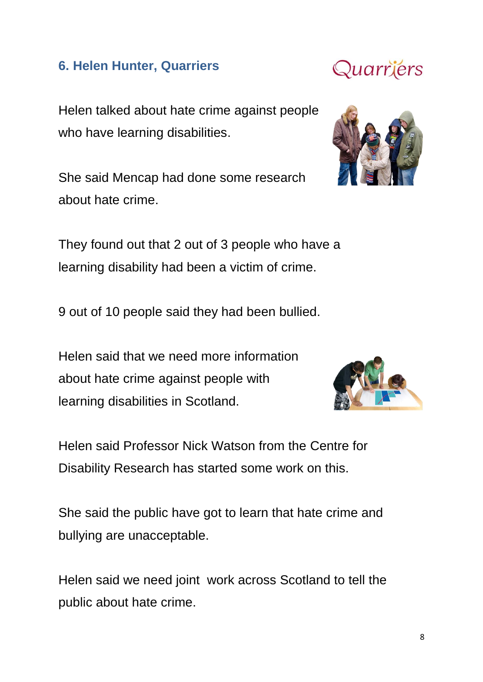#### **6. Helen Hunter, Quarriers**

Helen talked about hate crime against people who have learning disabilities.

She said Mencap had done some research about hate crime.

They found out that 2 out of 3 people who have a learning disability had been a victim of crime.

9 out of 10 people said they had been bullied.

Helen said that we need more information about hate crime against people with learning disabilities in Scotland.

Helen said Professor Nick Watson from the Centre for Disability Research has started some work on this.

She said the public have got to learn that hate crime and bullying are unacceptable.

Helen said we need joint work across Scotland to tell the public about hate crime.





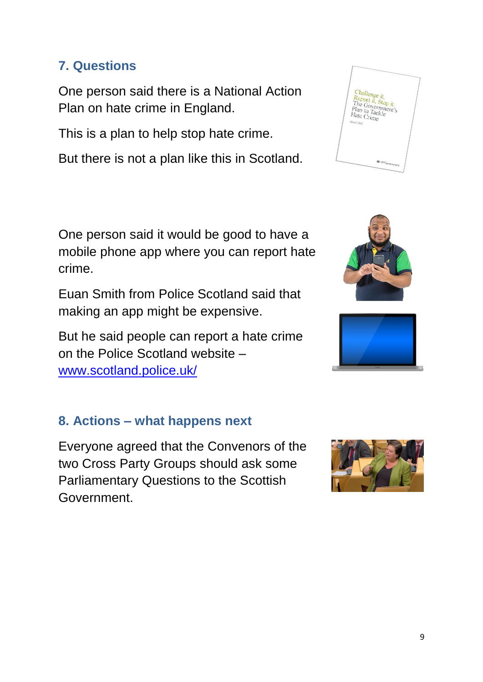### **7. Questions**

One person said there is a National Action Plan on hate crime in England.

This is a plan to help stop hate crime.

But there is not a plan like this in Scotland.

One person said it would be good to have a mobile phone app where you can report hate crime.

Euan Smith from Police Scotland said that making an app might be expensive.

But he said people can report a hate crime on the Police Scotland website – [www.scotland.police.uk/](http://www.scotland.police.uk/)

#### **8. Actions – what happens next**

Everyone agreed that the Convenors of the two Cross Party Groups should ask some Parliamentary Questions to the Scottish Government.